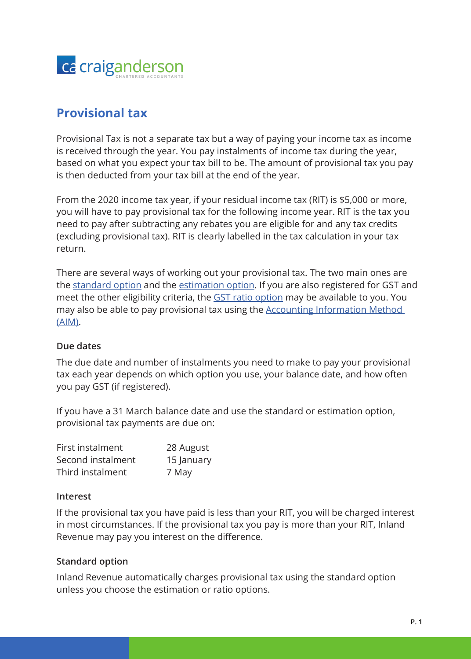

# **Provisional tax**

Provisional Tax is not a separate tax but a way of paying your income tax as income is received through the year. You pay instalments of income tax during the year, based on what you expect your tax bill to be. The amount of provisional tax you pay is then deducted from your tax bill at the end of the year.

From the 2020 income tax year, if your residual income tax (RIT) is \$5,000 or more, you will have to pay provisional tax for the following income year. RIT is the tax you need to pay after subtracting any rebates you are eligible for and any tax credits (excluding provisional tax). RIT is clearly labelled in the tax calculation in your tax return.

There are several ways of working out your provisional tax. The two main ones are the [standard option](https://www.ird.govt.nz/income-tax/provisional-tax/provisional-tax-options/standard-option) and the [estimation option.](https://www.ird.govt.nz/income-tax/provisional-tax/provisional-tax-options/estimation-option) If you are also registered for GST and meet the other eligibility criteria, the [GST ratio option](https://www.ird.govt.nz/income-tax/provisional-tax/provisional-tax-options/ratio-option) may be available to you. You may also be able to pay provisional tax using the [Accounting Information Method](https://www.ird.govt.nz/income-tax/provisional-tax/provisional-tax-options/accounting-income-method-aim)  [\(AIM\)](https://www.ird.govt.nz/income-tax/provisional-tax/provisional-tax-options/accounting-income-method-aim).

### **Due dates**

The due date and number of instalments you need to make to pay your provisional tax each year depends on which option you use, your balance date, and how often you pay GST (if registered).

If you have a 31 March balance date and use the standard or estimation option, provisional tax payments are due on:

| First instalment  | 28 August  |
|-------------------|------------|
| Second instalment | 15 January |
| Third instalment  | 7 May      |

### **Interest**

If the provisional tax you have paid is less than your RIT, you will be charged interest in most circumstances. If the provisional tax you pay is more than your RIT, Inland Revenue may pay you interest on the difference.

### **Standard option**

Inland Revenue automatically charges provisional tax using the standard option unless you choose the estimation or ratio options.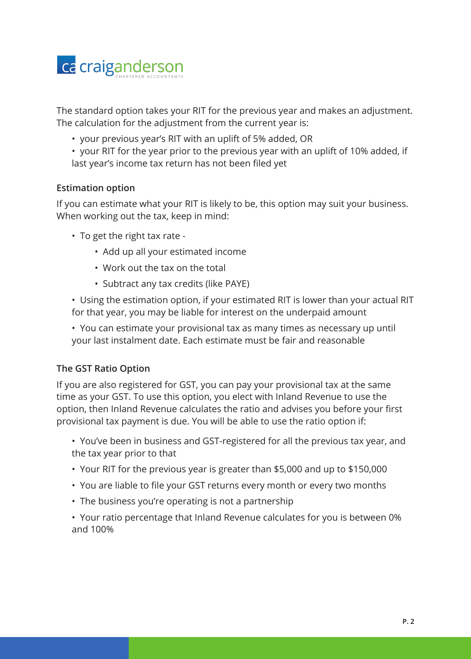

The standard option takes your RIT for the previous year and makes an adjustment. The calculation for the adjustment from the current year is:

- your previous year's RIT with an uplift of 5% added, OR
- your RIT for the year prior to the previous year with an uplift of 10% added, if last year's income tax return has not been filed yet

## **Estimation option**

If you can estimate what your RIT is likely to be, this option may suit your business. When working out the tax, keep in mind:

- To get the right tax rate
	- Add up all your estimated income
	- Work out the tax on the total
	- Subtract any tax credits (like PAYE)

• Using the estimation option, if your estimated RIT is lower than your actual RIT for that year, you may be liable for interest on the underpaid amount

• You can estimate your provisional tax as many times as necessary up until your last instalment date. Each estimate must be fair and reasonable

## **The GST Ratio Option**

If you are also registered for GST, you can pay your provisional tax at the same time as your GST. To use this option, you elect with Inland Revenue to use the option, then Inland Revenue calculates the ratio and advises you before your first provisional tax payment is due. You will be able to use the ratio option if:

• You've been in business and GST-registered for all the previous tax year, and the tax year prior to that

- Your RIT for the previous year is greater than \$5,000 and up to \$150,000
- You are liable to file your GST returns every month or every two months
- The business you're operating is not a partnership

• Your ratio percentage that Inland Revenue calculates for you is between 0% and 100%